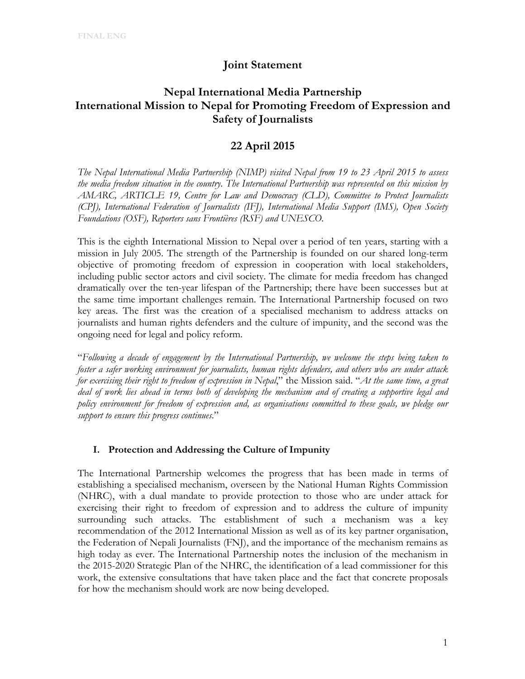## **Joint Statement**

# **Nepal International Media Partnership International Mission to Nepal for Promoting Freedom of Expression and Safety of Journalists**

## **22 April 2015**

*The Nepal International Media Partnership (NIMP) visited Nepal from 19 to 23 April 2015 to assess the media freedom situation in the country. The International Partnership was represented on this mission by AMARC, ARTICLE 19, Centre for Law and Democracy (CLD), Committee to Protect Journalists (CPJ), International Federation of Journalists (IFJ), International Media Support (IMS), Open Society Foundations (OSF), Reporters sans Frontières (RSF) and UNESCO.*

This is the eighth International Mission to Nepal over a period of ten years, starting with a mission in July 2005. The strength of the Partnership is founded on our shared long-term objective of promoting freedom of expression in cooperation with local stakeholders, including public sector actors and civil society. The climate for media freedom has changed dramatically over the ten-year lifespan of the Partnership; there have been successes but at the same time important challenges remain. The International Partnership focused on two key areas. The first was the creation of a specialised mechanism to address attacks on journalists and human rights defenders and the culture of impunity, and the second was the ongoing need for legal and policy reform.

"*Following a decade of engagement by the International Partnership, we welcome the steps being taken to foster a safer working environment for journalists, human rights defenders, and others who are under attack for exercising their right to freedom of expression in Nepal*," the Mission said. "*At the same time, a great deal of work lies ahead in terms both of developing the mechanism and of creating a supportive legal and policy environment for freedom of expression and, as organisations committed to these goals, we pledge our support to ensure this progress continues*."

### **I. Protection and Addressing the Culture of Impunity**

The International Partnership welcomes the progress that has been made in terms of establishing a specialised mechanism, overseen by the National Human Rights Commission (NHRC), with a dual mandate to provide protection to those who are under attack for exercising their right to freedom of expression and to address the culture of impunity surrounding such attacks. The establishment of such a mechanism was a key recommendation of the 2012 International Mission as well as of its key partner organisation, the Federation of Nepali Journalists (FNJ), and the importance of the mechanism remains as high today as ever. The International Partnership notes the inclusion of the mechanism in the 2015-2020 Strategic Plan of the NHRC, the identification of a lead commissioner for this work, the extensive consultations that have taken place and the fact that concrete proposals for how the mechanism should work are now being developed.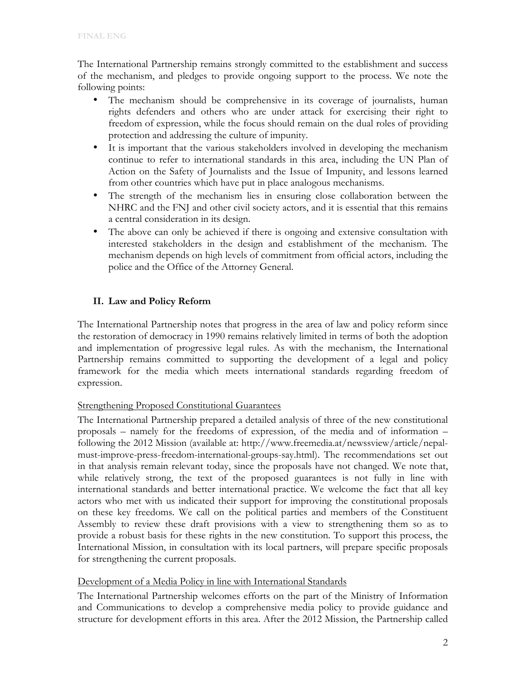The International Partnership remains strongly committed to the establishment and success of the mechanism, and pledges to provide ongoing support to the process. We note the following points:

- The mechanism should be comprehensive in its coverage of journalists, human rights defenders and others who are under attack for exercising their right to freedom of expression, while the focus should remain on the dual roles of providing protection and addressing the culture of impunity.
- It is important that the various stakeholders involved in developing the mechanism continue to refer to international standards in this area, including the UN Plan of Action on the Safety of Journalists and the Issue of Impunity, and lessons learned from other countries which have put in place analogous mechanisms.
- The strength of the mechanism lies in ensuring close collaboration between the NHRC and the FNJ and other civil society actors, and it is essential that this remains a central consideration in its design.
- The above can only be achieved if there is ongoing and extensive consultation with interested stakeholders in the design and establishment of the mechanism. The mechanism depends on high levels of commitment from official actors, including the police and the Office of the Attorney General.

## **II. Law and Policy Reform**

The International Partnership notes that progress in the area of law and policy reform since the restoration of democracy in 1990 remains relatively limited in terms of both the adoption and implementation of progressive legal rules. As with the mechanism, the International Partnership remains committed to supporting the development of a legal and policy framework for the media which meets international standards regarding freedom of expression.

## Strengthening Proposed Constitutional Guarantees

The International Partnership prepared a detailed analysis of three of the new constitutional proposals – namely for the freedoms of expression, of the media and of information – following the 2012 Mission (available at: http://www.freemedia.at/newssview/article/nepalmust-improve-press-freedom-international-groups-say.html). The recommendations set out in that analysis remain relevant today, since the proposals have not changed. We note that, while relatively strong, the text of the proposed guarantees is not fully in line with international standards and better international practice. We welcome the fact that all key actors who met with us indicated their support for improving the constitutional proposals on these key freedoms. We call on the political parties and members of the Constituent Assembly to review these draft provisions with a view to strengthening them so as to provide a robust basis for these rights in the new constitution. To support this process, the International Mission, in consultation with its local partners, will prepare specific proposals for strengthening the current proposals.

### Development of a Media Policy in line with International Standards

The International Partnership welcomes efforts on the part of the Ministry of Information and Communications to develop a comprehensive media policy to provide guidance and structure for development efforts in this area. After the 2012 Mission, the Partnership called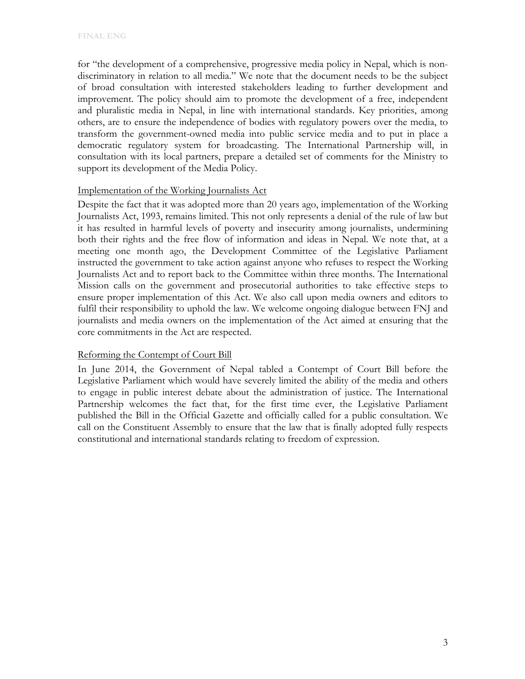for "the development of a comprehensive, progressive media policy in Nepal, which is nondiscriminatory in relation to all media." We note that the document needs to be the subject of broad consultation with interested stakeholders leading to further development and improvement. The policy should aim to promote the development of a free, independent and pluralistic media in Nepal, in line with international standards. Key priorities, among others, are to ensure the independence of bodies with regulatory powers over the media, to transform the government-owned media into public service media and to put in place a democratic regulatory system for broadcasting. The International Partnership will, in consultation with its local partners, prepare a detailed set of comments for the Ministry to support its development of the Media Policy.

#### Implementation of the Working Journalists Act

Despite the fact that it was adopted more than 20 years ago, implementation of the Working Journalists Act, 1993, remains limited. This not only represents a denial of the rule of law but it has resulted in harmful levels of poverty and insecurity among journalists, undermining both their rights and the free flow of information and ideas in Nepal. We note that, at a meeting one month ago, the Development Committee of the Legislative Parliament instructed the government to take action against anyone who refuses to respect the Working Journalists Act and to report back to the Committee within three months. The International Mission calls on the government and prosecutorial authorities to take effective steps to ensure proper implementation of this Act. We also call upon media owners and editors to fulfil their responsibility to uphold the law. We welcome ongoing dialogue between FNJ and journalists and media owners on the implementation of the Act aimed at ensuring that the core commitments in the Act are respected.

### Reforming the Contempt of Court Bill

In June 2014, the Government of Nepal tabled a Contempt of Court Bill before the Legislative Parliament which would have severely limited the ability of the media and others to engage in public interest debate about the administration of justice. The International Partnership welcomes the fact that, for the first time ever, the Legislative Parliament published the Bill in the Official Gazette and officially called for a public consultation. We call on the Constituent Assembly to ensure that the law that is finally adopted fully respects constitutional and international standards relating to freedom of expression.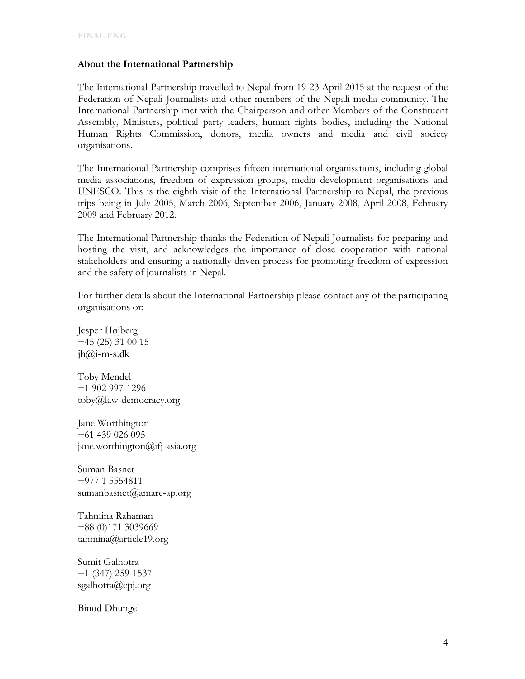### **About the International Partnership**

The International Partnership travelled to Nepal from 19-23 April 2015 at the request of the Federation of Nepali Journalists and other members of the Nepali media community. The International Partnership met with the Chairperson and other Members of the Constituent Assembly, Ministers, political party leaders, human rights bodies, including the National Human Rights Commission, donors, media owners and media and civil society organisations.

The International Partnership comprises fifteen international organisations, including global media associations, freedom of expression groups, media development organisations and UNESCO. This is the eighth visit of the International Partnership to Nepal, the previous trips being in July 2005, March 2006, September 2006, January 2008, April 2008, February 2009 and February 2012.

The International Partnership thanks the Federation of Nepali Journalists for preparing and hosting the visit, and acknowledges the importance of close cooperation with national stakeholders and ensuring a nationally driven process for promoting freedom of expression and the safety of journalists in Nepal.

For further details about the International Partnership please contact any of the participating organisations or:

Jesper Højberg +45 (25) 31 00 15  $jh@$  i-m-s.dk

Toby Mendel +1 902 997-1296 toby@law-democracy.org

Jane Worthington +61 439 026 095 jane.worthington@ifj-asia.org

Suman Basnet +977 1 5554811 sumanbasnet@amarc-ap.org

Tahmina Rahaman +88 (0)171 3039669 tahmina@article19.org

Sumit Galhotra +1 (347) 259-1537 sgalhotra@cpj.org

Binod Dhungel